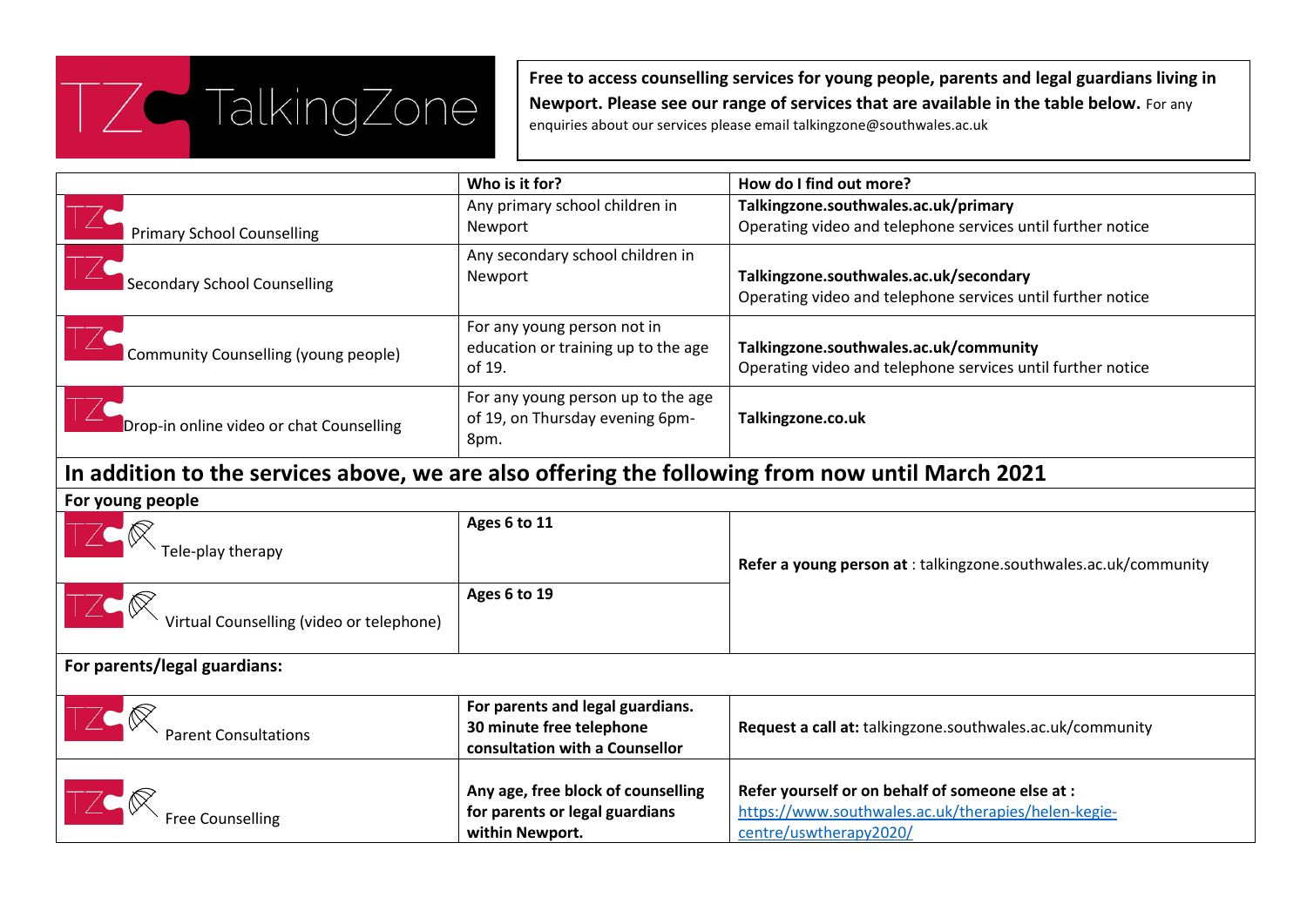

**Free to access counselling services for young people, parents and legal guardians living in Newport. Please see our range of services that are available in the table below.** For any enquiries about our services please email talkingzone@southwales.ac.uk

|                                          | Who is it for?                                                                | How do I find out more?                                                                               |
|------------------------------------------|-------------------------------------------------------------------------------|-------------------------------------------------------------------------------------------------------|
|                                          | Any primary school children in                                                | Talkingzone.southwales.ac.uk/primary                                                                  |
| <b>Primary School Counselling</b>        | Newport                                                                       | Operating video and telephone services until further notice                                           |
| <b>Secondary School Counselling</b>      | Any secondary school children in<br>Newport                                   | Talkingzone.southwales.ac.uk/secondary<br>Operating video and telephone services until further notice |
| Community Counselling (young people)     | For any young person not in<br>education or training up to the age<br>of 19.  | Talkingzone.southwales.ac.uk/community<br>Operating video and telephone services until further notice |
| Drop-in online video or chat Counselling | For any young person up to the age<br>of 19, on Thursday evening 6pm-<br>8pm. | Talkingzone.co.uk                                                                                     |

## **In addition to the services above, we are also offering the following from now until March 2021**

## **For young people**

| $\overline{ }$ , or young people.                                                                                                                                                                                                                                                                                                            |                                                                                                |                                                                                                                                   |
|----------------------------------------------------------------------------------------------------------------------------------------------------------------------------------------------------------------------------------------------------------------------------------------------------------------------------------------------|------------------------------------------------------------------------------------------------|-----------------------------------------------------------------------------------------------------------------------------------|
| $\begin{picture}(180,10) \put(0,0){\line(1,0){155}} \put(15,0){\line(1,0){155}} \put(15,0){\line(1,0){155}} \put(15,0){\line(1,0){155}} \put(15,0){\line(1,0){155}} \put(15,0){\line(1,0){155}} \put(15,0){\line(1,0){155}} \put(15,0){\line(1,0){155}} \put(15,0){\line(1,0){155}} \put(15,0){\line(1,0){155}} \put(15,0){\line(1,0){155}}$ | Ages 6 to 11                                                                                   | <b>Refer a young person at:</b> talkingzone.southwales.ac.uk/community                                                            |
| Virtual Counselling (video or telephone)                                                                                                                                                                                                                                                                                                     | Ages 6 to 19                                                                                   |                                                                                                                                   |
| For parents/legal guardians:                                                                                                                                                                                                                                                                                                                 |                                                                                                |                                                                                                                                   |
| TZC R<br>Parent Consultations                                                                                                                                                                                                                                                                                                                | For parents and legal guardians.<br>30 minute free telephone<br>consultation with a Counsellor | Request a call at: talkingzone.southwales.ac.uk/community                                                                         |
| TZC R Free Counselling                                                                                                                                                                                                                                                                                                                       | Any age, free block of counselling<br>for parents or legal guardians<br>within Newport.        | Refer yourself or on behalf of someone else at :<br>https://www.southwales.ac.uk/therapies/helen-kegie-<br>centre/uswtherapy2020/ |